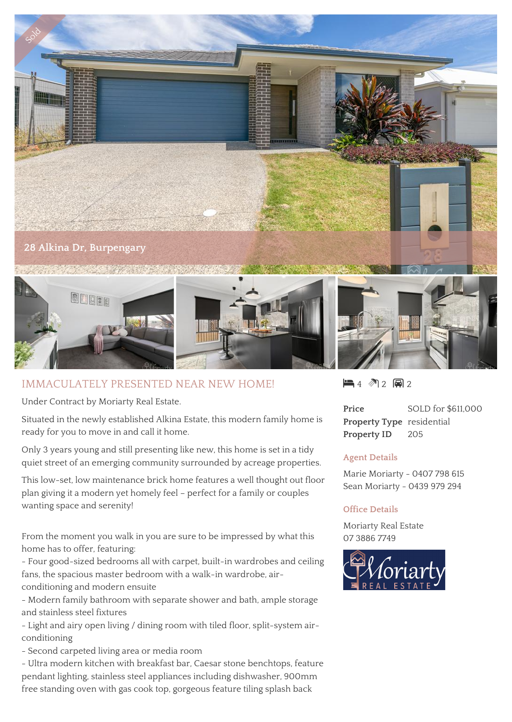

## IMMACULATELY PRESENTED NEAR NEW HOME!

Under Contract by Moriarty Real Estate.

Situated in the newly established Alkina Estate, this modern family home is ready for you to move in and call it home.

Only 3 years young and still presenting like new, this home is set in a tidy quiet street of an emerging community surrounded by acreage properties.

This low-set, low maintenance brick home features a well thought out floor plan giving it a modern yet homely feel – perfect for a family or couples wanting space and serenity!

From the moment you walk in you are sure to be impressed by what this home has to offer, featuring:

- Four good-sized bedrooms all with carpet, built-in wardrobes and ceiling fans, the spacious master bedroom with a walk-in wardrobe, airconditioning and modern ensuite

- Modern family bathroom with separate shower and bath, ample storage and stainless steel fixtures

- Light and airy open living / dining room with tiled floor, split-system airconditioning

- Second carpeted living area or media room

- Ultra modern kitchen with breakfast bar, Caesar stone benchtops, feature pendant lighting, stainless steel appliances including dishwasher, 900mm free standing oven with gas cook top, gorgeous feature tiling splash back

 $4 \text{ M } 2 \text{ m } 2$ 

**Price** SOLD for \$611,000 **Property Type** residential **Property ID** 205

## **Agent Details**

Marie Moriarty - 0407 798 615 Sean Moriarty - 0439 979 294

## **Office Details**

Moriarty Real Estate 07 3886 7749